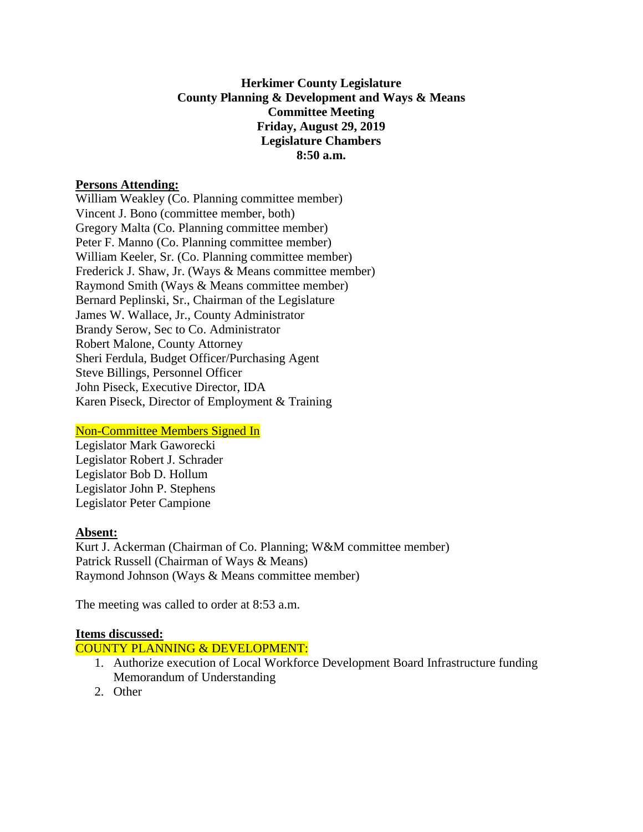## **Herkimer County Legislature County Planning & Development and Ways & Means Committee Meeting Friday, August 29, 2019 Legislature Chambers 8:50 a.m.**

## **Persons Attending:**

William Weakley (Co. Planning committee member) Vincent J. Bono (committee member, both) Gregory Malta (Co. Planning committee member) Peter F. Manno (Co. Planning committee member) William Keeler, Sr. (Co. Planning committee member) Frederick J. Shaw, Jr. (Ways & Means committee member) Raymond Smith (Ways & Means committee member) Bernard Peplinski, Sr., Chairman of the Legislature James W. Wallace, Jr., County Administrator Brandy Serow, Sec to Co. Administrator Robert Malone, County Attorney Sheri Ferdula, Budget Officer/Purchasing Agent Steve Billings, Personnel Officer John Piseck, Executive Director, IDA Karen Piseck, Director of Employment & Training

# Non-Committee Members Signed In

Legislator Mark Gaworecki Legislator Robert J. Schrader Legislator Bob D. Hollum Legislator John P. Stephens Legislator Peter Campione

#### **Absent:**

Kurt J. Ackerman (Chairman of Co. Planning; W&M committee member) Patrick Russell (Chairman of Ways & Means) Raymond Johnson (Ways & Means committee member)

The meeting was called to order at 8:53 a.m.

#### **Items discussed:**

COUNTY PLANNING & DEVELOPMENT:

- 1. Authorize execution of Local Workforce Development Board Infrastructure funding Memorandum of Understanding
- 2. Other